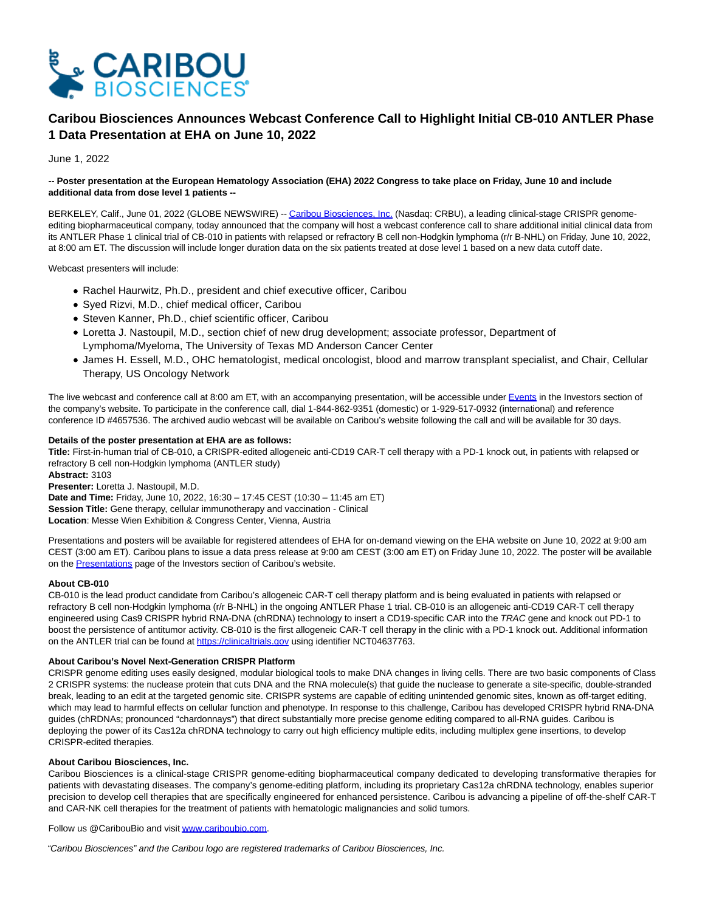

# **Caribou Biosciences Announces Webcast Conference Call to Highlight Initial CB-010 ANTLER Phase 1 Data Presentation at EHA on June 10, 2022**

June 1, 2022

## **-- Poster presentation at the European Hematology Association (EHA) 2022 Congress to take place on Friday, June 10 and include additional data from dose level 1 patients --**

BERKELEY, Calif., June 01, 2022 (GLOBE NEWSWIRE) -[- Caribou Biosciences, Inc. \(](https://www.globenewswire.com/Tracker?data=tDVVVsbz___LnaC3mwiWUg3X4-3GuPZLTa0GDsYizIK6Fl4HFIyt0Xcz6P5c_gkV5nYTwHRo-S07QhnA9siIxGjpSJpMW0rzdF7ymbLADuY=)Nasdaq: CRBU), a leading clinical-stage CRISPR genomeediting biopharmaceutical company, today announced that the company will host a webcast conference call to share additional initial clinical data from its ANTLER Phase 1 clinical trial of CB-010 in patients with relapsed or refractory B cell non-Hodgkin lymphoma (r/r B-NHL) on Friday, June 10, 2022, at 8:00 am ET. The discussion will include longer duration data on the six patients treated at dose level 1 based on a new data cutoff date.

Webcast presenters will include:

- Rachel Haurwitz, Ph.D., president and chief executive officer, Caribou
- Syed Rizvi, M.D., chief medical officer, Caribou
- Steven Kanner, Ph.D., chief scientific officer, Caribou
- Loretta J. Nastoupil, M.D., section chief of new drug development; associate professor, Department of Lymphoma/Myeloma, The University of Texas MD Anderson Cancer Center
- James H. Essell, M.D., OHC hematologist, medical oncologist, blood and marrow transplant specialist, and Chair, Cellular Therapy, US Oncology Network

The live webcast and conference call at 8:00 am ET, with an accompanying presentation, will be accessible under [Events i](https://www.globenewswire.com/Tracker?data=6e-qTQtEfUjwSjtUgptTAiU3ry7MGDBia8Fno_8wfoDM8sNYJP3w4_3HYdu7mgg4J5-2h0VkSNnLGvQ5w1FJPPHKlXXx6g1V96bNSEnQkFM=)n the Investors section of the company's website. To participate in the conference call, dial 1-844-862-9351 (domestic) or 1-929-517-0932 (international) and reference conference ID #4657536. The archived audio webcast will be available on Caribou's website following the call and will be available for 30 days.

## **Details of the poster presentation at EHA are as follows:**

**Title:** First-in-human trial of CB-010, a CRISPR-edited allogeneic anti-CD19 CAR-T cell therapy with a PD-1 knock out, in patients with relapsed or refractory B cell non-Hodgkin lymphoma (ANTLER study)

**Abstract:** 3103 **Presenter:** Loretta J. Nastoupil, M.D.

**Date and Time:** Friday, June 10, 2022, 16:30 – 17:45 CEST (10:30 – 11:45 am ET) **Session Title:** Gene therapy, cellular immunotherapy and vaccination - Clinical **Location**: Messe Wien Exhibition & Congress Center, Vienna, Austria

Presentations and posters will be available for registered attendees of EHA for on-demand viewing on the EHA website on June 10, 2022 at 9:00 am CEST (3:00 am ET). Caribou plans to issue a data press release at 9:00 am CEST (3:00 am ET) on Friday June 10, 2022. The poster will be available on th[e Presentations p](https://www.globenewswire.com/Tracker?data=vpMugw_WuV1-AAHTWtmNzF-my1oZi_UGu1Rv43hQ8en1xIbltXWuXfQYINOIUXYsgBovvUvtgpVrN9zg8-Fi7XRCdqmvi49YLwGxHa0GWUrwE0a5FS6Y0xdalUCfC4SO)age of the Investors section of Caribou's website.

## **About CB-010**

CB-010 is the lead product candidate from Caribou's allogeneic CAR-T cell therapy platform and is being evaluated in patients with relapsed or refractory B cell non-Hodgkin lymphoma (r/r B-NHL) in the ongoing ANTLER Phase 1 trial. CB-010 is an allogeneic anti-CD19 CAR-T cell therapy engineered using Cas9 CRISPR hybrid RNA-DNA (chRDNA) technology to insert a CD19-specific CAR into the TRAC gene and knock out PD-1 to boost the persistence of antitumor activity. CB-010 is the first allogeneic CAR-T cell therapy in the clinic with a PD-1 knock out. Additional information on the ANTLER trial can be found a[t https://clinicaltrials.gov u](https://www.globenewswire.com/Tracker?data=sCmkSKNqzbf7Yi1hsJgb_ZHoIkkNE34-jn6V8lE1v52KPikCxvACZCH-iyU16zorxOBioeXkl40IyXADHpN1utbBcVm0dZu8kvHgsgT3D88=)sing identifier NCT04637763.

## **About Caribou's Novel Next-Generation CRISPR Platform**

CRISPR genome editing uses easily designed, modular biological tools to make DNA changes in living cells. There are two basic components of Class 2 CRISPR systems: the nuclease protein that cuts DNA and the RNA molecule(s) that guide the nuclease to generate a site-specific, double-stranded break, leading to an edit at the targeted genomic site. CRISPR systems are capable of editing unintended genomic sites, known as off-target editing, which may lead to harmful effects on cellular function and phenotype. In response to this challenge, Caribou has developed CRISPR hybrid RNA-DNA guides (chRDNAs; pronounced "chardonnays") that direct substantially more precise genome editing compared to all-RNA guides. Caribou is deploying the power of its Cas12a chRDNA technology to carry out high efficiency multiple edits, including multiplex gene insertions, to develop CRISPR-edited therapies.

#### **About Caribou Biosciences, Inc.**

Caribou Biosciences is a clinical-stage CRISPR genome-editing biopharmaceutical company dedicated to developing transformative therapies for patients with devastating diseases. The company's genome-editing platform, including its proprietary Cas12a chRDNA technology, enables superior precision to develop cell therapies that are specifically engineered for enhanced persistence. Caribou is advancing a pipeline of off-the-shelf CAR-T and CAR-NK cell therapies for the treatment of patients with hematologic malignancies and solid tumors.

Follow us @CaribouBio and visi[t www.cariboubio.com.](https://www.globenewswire.com/Tracker?data=WT-mV5NYob_nCZruMsM9lNCewOgn_krBKP9fDEjrBpWqTp0ac0iTnxKr52WGYxPe4f1nPYxpJoXNZtGYWhfN9vRJVQ9d4UVSensBiGb_k74=)

"Caribou Biosciences" and the Caribou logo are registered trademarks of Caribou Biosciences, Inc.